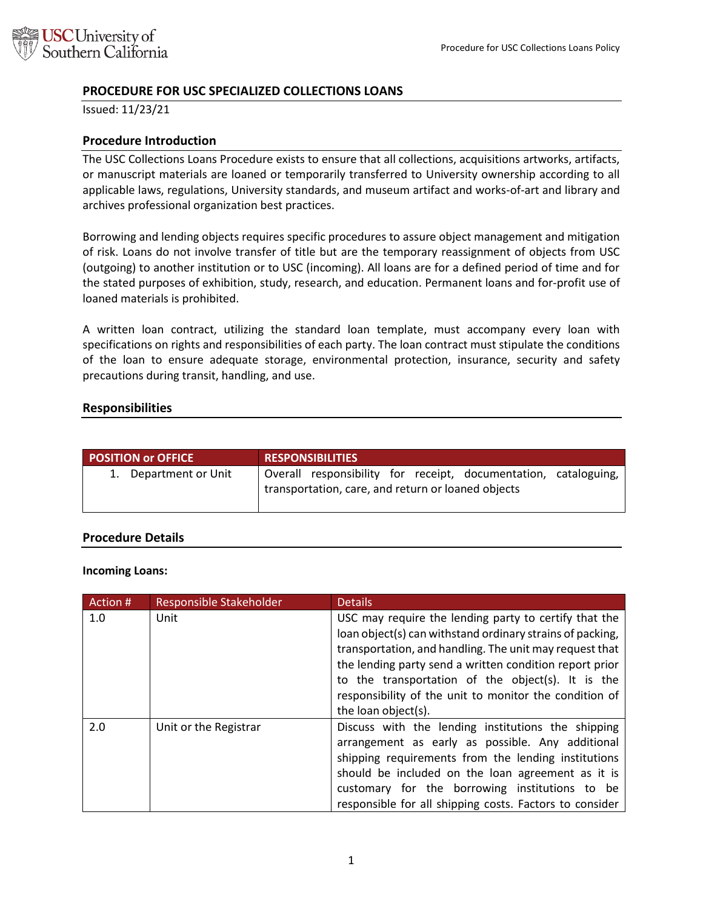

# **PROCEDURE FOR USC SPECIALIZED COLLECTIONS LOANS**

Issued: 11/23/21

## **Procedure Introduction**

The USC Collections Loans Procedure exists to ensure that all collections, acquisitions artworks, artifacts, or manuscript materials are loaned or temporarily transferred to University ownership according to all applicable laws, regulations, University standards, and museum artifact and works-of-art and library and archives professional organization best practices.

Borrowing and lending objects requires specific procedures to assure object management and mitigation of risk. Loans do not involve transfer of title but are the temporary reassignment of objects from USC (outgoing) to another institution or to USC (incoming). All loans are for a defined period of time and for the stated purposes of exhibition, study, research, and education. Permanent loans and for-profit use of loaned materials is prohibited.

A written loan contract, utilizing the standard loan template, must accompany every loan with specifications on rights and responsibilities of each party. The loan contract must stipulate the conditions of the loan to ensure adequate storage, environmental protection, insurance, security and safety precautions during transit, handling, and use.

### **Responsibilities**

| <b>POSITION or OFFICE</b> | <b>RESPONSIBILITIES</b>                                                                                               |
|---------------------------|-----------------------------------------------------------------------------------------------------------------------|
| 1. Department or Unit     | Overall responsibility for receipt, documentation, cataloguing,<br>transportation, care, and return or loaned objects |

#### **Procedure Details**

#### **Incoming Loans:**

| Action # | Responsible Stakeholder | <b>Details</b>                                            |
|----------|-------------------------|-----------------------------------------------------------|
| 1.0      | Unit                    | USC may require the lending party to certify that the     |
|          |                         | loan object(s) can withstand ordinary strains of packing, |
|          |                         | transportation, and handling. The unit may request that   |
|          |                         | the lending party send a written condition report prior   |
|          |                         | to the transportation of the object(s). It is the         |
|          |                         | responsibility of the unit to monitor the condition of    |
|          |                         | the loan object(s).                                       |
| 2.0      | Unit or the Registrar   | Discuss with the lending institutions the shipping        |
|          |                         | arrangement as early as possible. Any additional          |
|          |                         | shipping requirements from the lending institutions       |
|          |                         | should be included on the loan agreement as it is         |
|          |                         | customary for the borrowing institutions to be            |
|          |                         | responsible for all shipping costs. Factors to consider   |